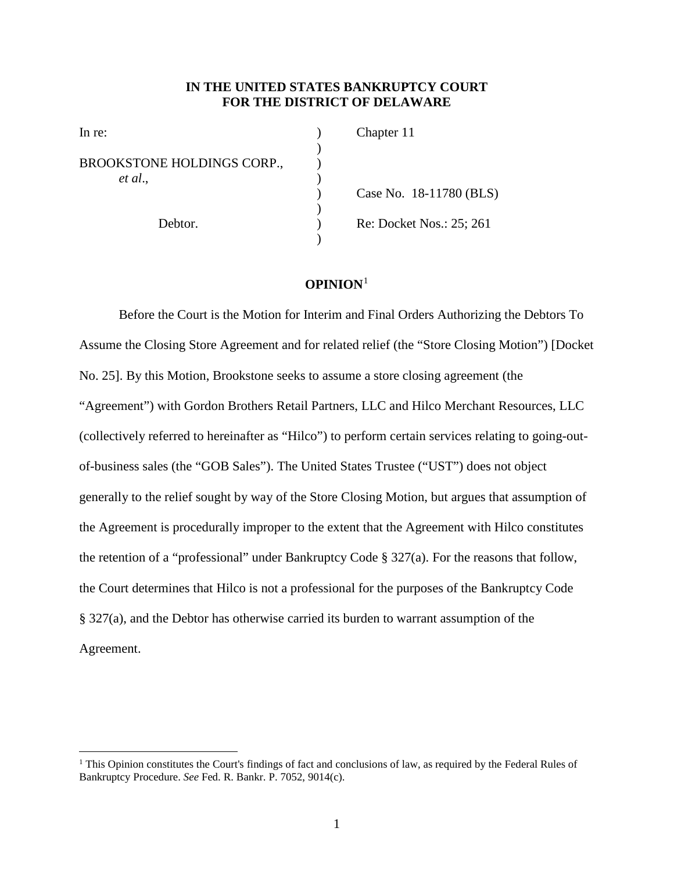## **IN THE UNITED STATES BANKRUPTCY COURT FOR THE DISTRICT OF DELAWARE**

| In re:                     | Chapter 11               |
|----------------------------|--------------------------|
|                            |                          |
| BROOKSTONE HOLDINGS CORP., |                          |
| et al.,                    |                          |
| Debtor.                    | Case No. 18-11780 (BLS)  |
|                            |                          |
|                            | Re: Docket Nos.: 25; 261 |
|                            |                          |

## **OPINION**<sup>1</sup>

Before the Court is the Motion for Interim and Final Orders Authorizing the Debtors To Assume the Closing Store Agreement and for related relief (the "Store Closing Motion") [Docket No. 25]. By this Motion, Brookstone seeks to assume a store closing agreement (the "Agreement") with Gordon Brothers Retail Partners, LLC and Hilco Merchant Resources, LLC (collectively referred to hereinafter as "Hilco") to perform certain services relating to going-outof-business sales (the "GOB Sales"). The United States Trustee ("UST") does not object generally to the relief sought by way of the Store Closing Motion, but argues that assumption of the Agreement is procedurally improper to the extent that the Agreement with Hilco constitutes the retention of a "professional" under Bankruptcy Code § 327(a). For the reasons that follow, the Court determines that Hilco is not a professional for the purposes of the Bankruptcy Code § 327(a), and the Debtor has otherwise carried its burden to warrant assumption of the Agreement.

 $\overline{a}$ 

 $1$  This Opinion constitutes the Court's findings of fact and conclusions of law, as required by the Federal Rules of Bankruptcy Procedure. *See* Fed. R. Bankr. P. 7052, 9014(c).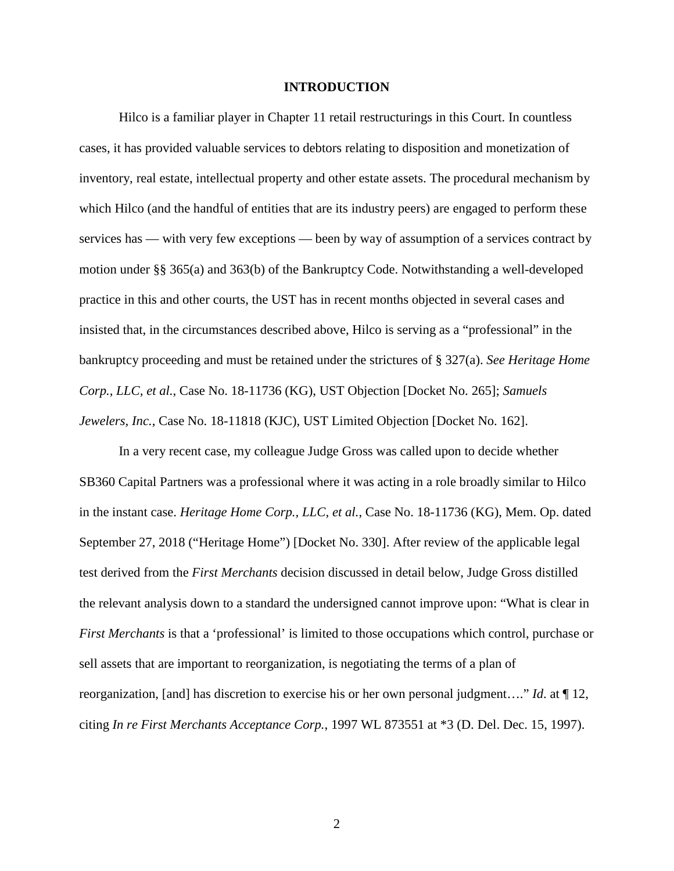## **INTRODUCTION**

Hilco is a familiar player in Chapter 11 retail restructurings in this Court. In countless cases, it has provided valuable services to debtors relating to disposition and monetization of inventory, real estate, intellectual property and other estate assets. The procedural mechanism by which Hilco (and the handful of entities that are its industry peers) are engaged to perform these services has — with very few exceptions — been by way of assumption of a services contract by motion under §§ 365(a) and 363(b) of the Bankruptcy Code. Notwithstanding a well-developed practice in this and other courts, the UST has in recent months objected in several cases and insisted that, in the circumstances described above, Hilco is serving as a "professional" in the bankruptcy proceeding and must be retained under the strictures of § 327(a). *See Heritage Home Corp., LLC, et al.*, Case No. 18-11736 (KG), UST Objection [Docket No. 265]; *Samuels Jewelers, Inc.*, Case No. 18-11818 (KJC), UST Limited Objection [Docket No. 162].

In a very recent case, my colleague Judge Gross was called upon to decide whether SB360 Capital Partners was a professional where it was acting in a role broadly similar to Hilco in the instant case. *Heritage Home Corp., LLC, et al.*, Case No. 18-11736 (KG), Mem. Op. dated September 27, 2018 ("Heritage Home") [Docket No. 330]. After review of the applicable legal test derived from the *First Merchants* decision discussed in detail below, Judge Gross distilled the relevant analysis down to a standard the undersigned cannot improve upon: "What is clear in *First Merchants* is that a 'professional' is limited to those occupations which control, purchase or sell assets that are important to reorganization, is negotiating the terms of a plan of reorganization, [and] has discretion to exercise his or her own personal judgment…." *Id*. at ¶ 12, citing *In re First Merchants Acceptance Corp.*, 1997 WL 873551 at \*3 (D. Del. Dec. 15, 1997).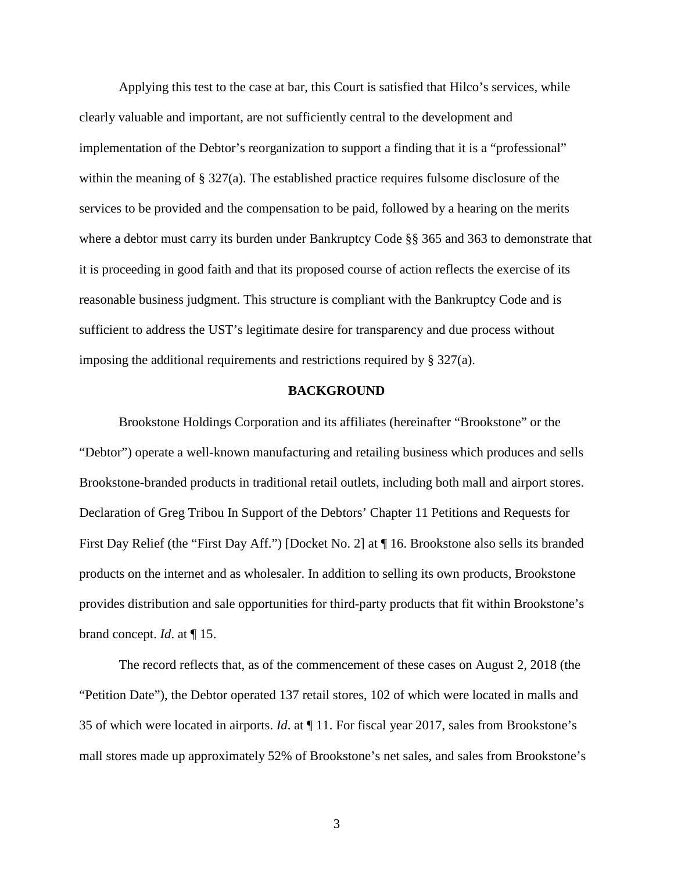Applying this test to the case at bar, this Court is satisfied that Hilco's services, while clearly valuable and important, are not sufficiently central to the development and implementation of the Debtor's reorganization to support a finding that it is a "professional" within the meaning of § 327(a). The established practice requires fulsome disclosure of the services to be provided and the compensation to be paid, followed by a hearing on the merits where a debtor must carry its burden under Bankruptcy Code §§ 365 and 363 to demonstrate that it is proceeding in good faith and that its proposed course of action reflects the exercise of its reasonable business judgment. This structure is compliant with the Bankruptcy Code and is sufficient to address the UST's legitimate desire for transparency and due process without imposing the additional requirements and restrictions required by § 327(a).

## **BACKGROUND**

Brookstone Holdings Corporation and its affiliates (hereinafter "Brookstone" or the "Debtor") operate a well-known manufacturing and retailing business which produces and sells Brookstone-branded products in traditional retail outlets, including both mall and airport stores. Declaration of Greg Tribou In Support of the Debtors' Chapter 11 Petitions and Requests for First Day Relief (the "First Day Aff.") [Docket No. 2] at ¶ 16. Brookstone also sells its branded products on the internet and as wholesaler. In addition to selling its own products, Brookstone provides distribution and sale opportunities for third-party products that fit within Brookstone's brand concept. *Id*. at ¶ 15.

The record reflects that, as of the commencement of these cases on August 2, 2018 (the "Petition Date"), the Debtor operated 137 retail stores, 102 of which were located in malls and 35 of which were located in airports. *Id*. at ¶ 11. For fiscal year 2017, sales from Brookstone's mall stores made up approximately 52% of Brookstone's net sales, and sales from Brookstone's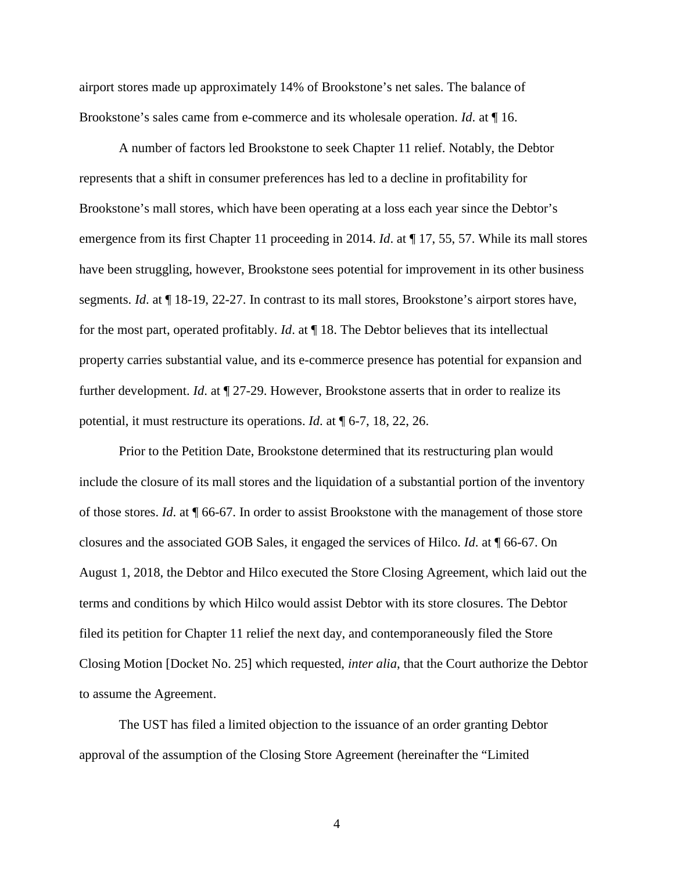airport stores made up approximately 14% of Brookstone's net sales. The balance of Brookstone's sales came from e-commerce and its wholesale operation. *Id*. at ¶ 16.

A number of factors led Brookstone to seek Chapter 11 relief. Notably, the Debtor represents that a shift in consumer preferences has led to a decline in profitability for Brookstone's mall stores, which have been operating at a loss each year since the Debtor's emergence from its first Chapter 11 proceeding in 2014. *Id*. at ¶ 17, 55, 57. While its mall stores have been struggling, however, Brookstone sees potential for improvement in its other business segments. *Id*. at ¶ 18-19, 22-27. In contrast to its mall stores, Brookstone's airport stores have, for the most part, operated profitably. *Id*. at ¶ 18. The Debtor believes that its intellectual property carries substantial value, and its e-commerce presence has potential for expansion and further development. *Id*. at ¶ 27-29. However, Brookstone asserts that in order to realize its potential, it must restructure its operations. *Id*. at ¶ 6-7, 18, 22, 26.

Prior to the Petition Date, Brookstone determined that its restructuring plan would include the closure of its mall stores and the liquidation of a substantial portion of the inventory of those stores. *Id*. at ¶ 66-67. In order to assist Brookstone with the management of those store closures and the associated GOB Sales, it engaged the services of Hilco. *Id*. at ¶ 66-67. On August 1, 2018, the Debtor and Hilco executed the Store Closing Agreement, which laid out the terms and conditions by which Hilco would assist Debtor with its store closures. The Debtor filed its petition for Chapter 11 relief the next day, and contemporaneously filed the Store Closing Motion [Docket No. 25] which requested, *inter alia*, that the Court authorize the Debtor to assume the Agreement.

The UST has filed a limited objection to the issuance of an order granting Debtor approval of the assumption of the Closing Store Agreement (hereinafter the "Limited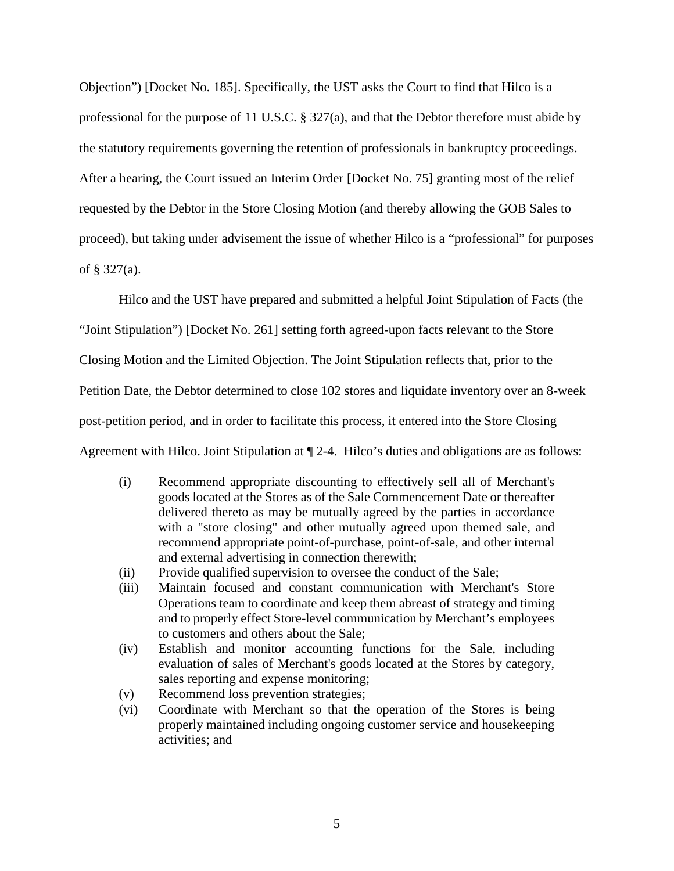Objection") [Docket No. 185]. Specifically, the UST asks the Court to find that Hilco is a professional for the purpose of 11 U.S.C. § 327(a), and that the Debtor therefore must abide by the statutory requirements governing the retention of professionals in bankruptcy proceedings. After a hearing, the Court issued an Interim Order [Docket No. 75] granting most of the relief requested by the Debtor in the Store Closing Motion (and thereby allowing the GOB Sales to proceed), but taking under advisement the issue of whether Hilco is a "professional" for purposes of § 327(a).

Hilco and the UST have prepared and submitted a helpful Joint Stipulation of Facts (the "Joint Stipulation") [Docket No. 261] setting forth agreed-upon facts relevant to the Store Closing Motion and the Limited Objection. The Joint Stipulation reflects that, prior to the Petition Date, the Debtor determined to close 102 stores and liquidate inventory over an 8-week post-petition period, and in order to facilitate this process, it entered into the Store Closing Agreement with Hilco. Joint Stipulation at ¶ 2-4. Hilco's duties and obligations are as follows:

- (i) Recommend appropriate discounting to effectively sell all of Merchant's goods located at the Stores as of the Sale Commencement Date or thereafter delivered thereto as may be mutually agreed by the parties in accordance with a "store closing" and other mutually agreed upon themed sale, and recommend appropriate point-of-purchase, point-of-sale, and other internal and external advertising in connection therewith;
- (ii) Provide qualified supervision to oversee the conduct of the Sale;
- (iii) Maintain focused and constant communication with Merchant's Store Operations team to coordinate and keep them abreast of strategy and timing and to properly effect Store-level communication by Merchant's employees to customers and others about the Sale;
- (iv) Establish and monitor accounting functions for the Sale, including evaluation of sales of Merchant's goods located at the Stores by category, sales reporting and expense monitoring;
- (v) Recommend loss prevention strategies;
- (vi) Coordinate with Merchant so that the operation of the Stores is being properly maintained including ongoing customer service and housekeeping activities; and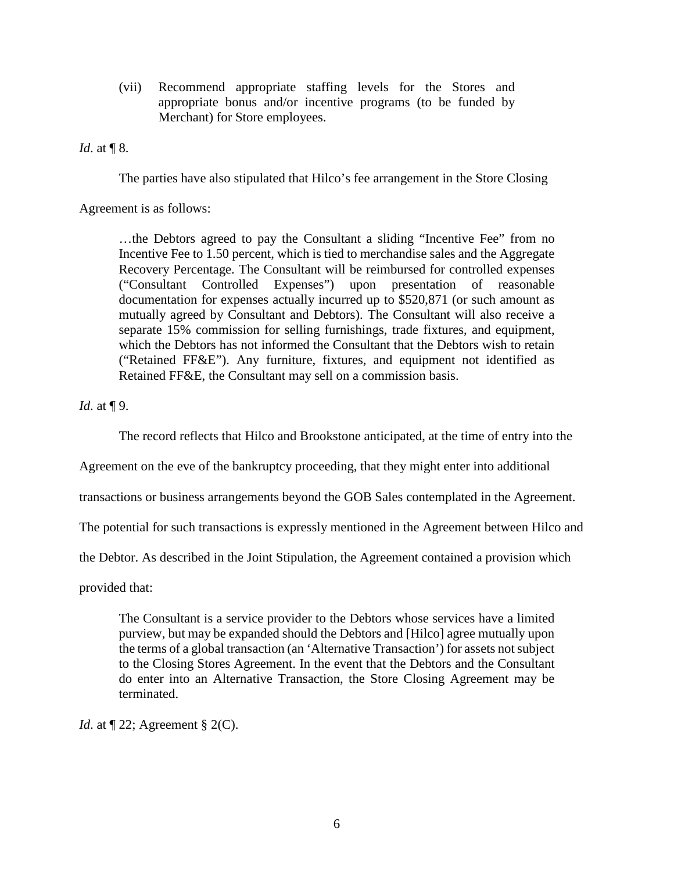(vii) Recommend appropriate staffing levels for the Stores and appropriate bonus and/or incentive programs (to be funded by Merchant) for Store employees.

*Id.* at **[** $\sqrt{8}$ .

The parties have also stipulated that Hilco's fee arrangement in the Store Closing

Agreement is as follows:

…the Debtors agreed to pay the Consultant a sliding "Incentive Fee" from no Incentive Fee to 1.50 percent, which is tied to merchandise sales and the Aggregate Recovery Percentage. The Consultant will be reimbursed for controlled expenses ("Consultant Controlled Expenses") upon presentation of reasonable documentation for expenses actually incurred up to \$520,871 (or such amount as mutually agreed by Consultant and Debtors). The Consultant will also receive a separate 15% commission for selling furnishings, trade fixtures, and equipment, which the Debtors has not informed the Consultant that the Debtors wish to retain ("Retained FF&E"). Any furniture, fixtures, and equipment not identified as Retained FF&E, the Consultant may sell on a commission basis.

*Id.* at **[9.**]

The record reflects that Hilco and Brookstone anticipated, at the time of entry into the

Agreement on the eve of the bankruptcy proceeding, that they might enter into additional

transactions or business arrangements beyond the GOB Sales contemplated in the Agreement.

The potential for such transactions is expressly mentioned in the Agreement between Hilco and

the Debtor. As described in the Joint Stipulation, the Agreement contained a provision which

provided that:

The Consultant is a service provider to the Debtors whose services have a limited purview, but may be expanded should the Debtors and [Hilco] agree mutually upon the terms of a global transaction (an 'Alternative Transaction') for assets not subject to the Closing Stores Agreement. In the event that the Debtors and the Consultant do enter into an Alternative Transaction, the Store Closing Agreement may be terminated.

*Id.* at  $\P$  22; Agreement § 2(C).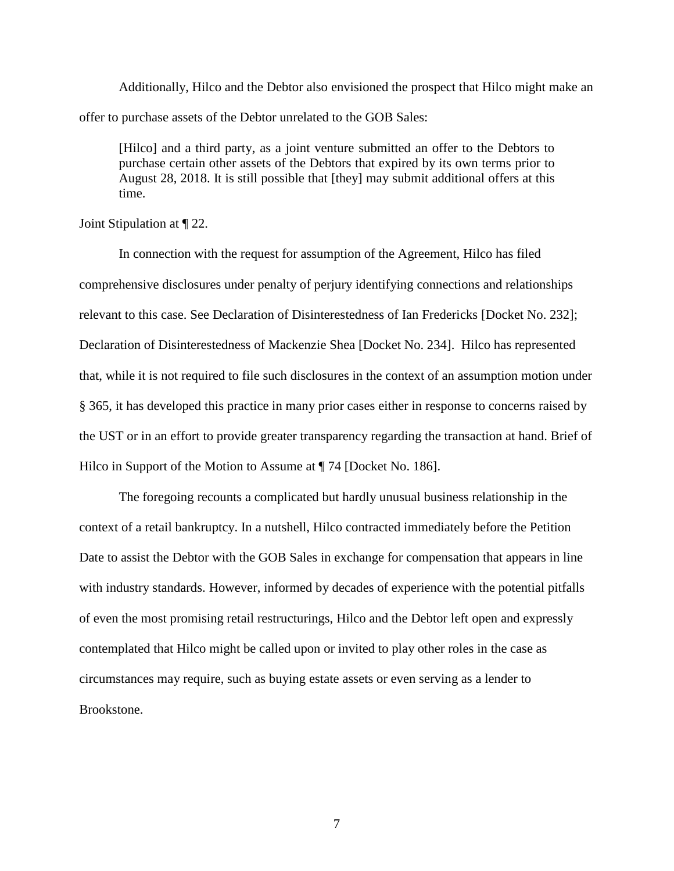Additionally, Hilco and the Debtor also envisioned the prospect that Hilco might make an offer to purchase assets of the Debtor unrelated to the GOB Sales:

[Hilco] and a third party, as a joint venture submitted an offer to the Debtors to purchase certain other assets of the Debtors that expired by its own terms prior to August 28, 2018. It is still possible that [they] may submit additional offers at this time.

Joint Stipulation at ¶ 22.

In connection with the request for assumption of the Agreement, Hilco has filed comprehensive disclosures under penalty of perjury identifying connections and relationships relevant to this case. See Declaration of Disinterestedness of Ian Fredericks [Docket No. 232]; Declaration of Disinterestedness of Mackenzie Shea [Docket No. 234]. Hilco has represented that, while it is not required to file such disclosures in the context of an assumption motion under § 365, it has developed this practice in many prior cases either in response to concerns raised by the UST or in an effort to provide greater transparency regarding the transaction at hand. Brief of Hilco in Support of the Motion to Assume at  $\P$  74 [Docket No. 186].

The foregoing recounts a complicated but hardly unusual business relationship in the context of a retail bankruptcy. In a nutshell, Hilco contracted immediately before the Petition Date to assist the Debtor with the GOB Sales in exchange for compensation that appears in line with industry standards. However, informed by decades of experience with the potential pitfalls of even the most promising retail restructurings, Hilco and the Debtor left open and expressly contemplated that Hilco might be called upon or invited to play other roles in the case as circumstances may require, such as buying estate assets or even serving as a lender to Brookstone.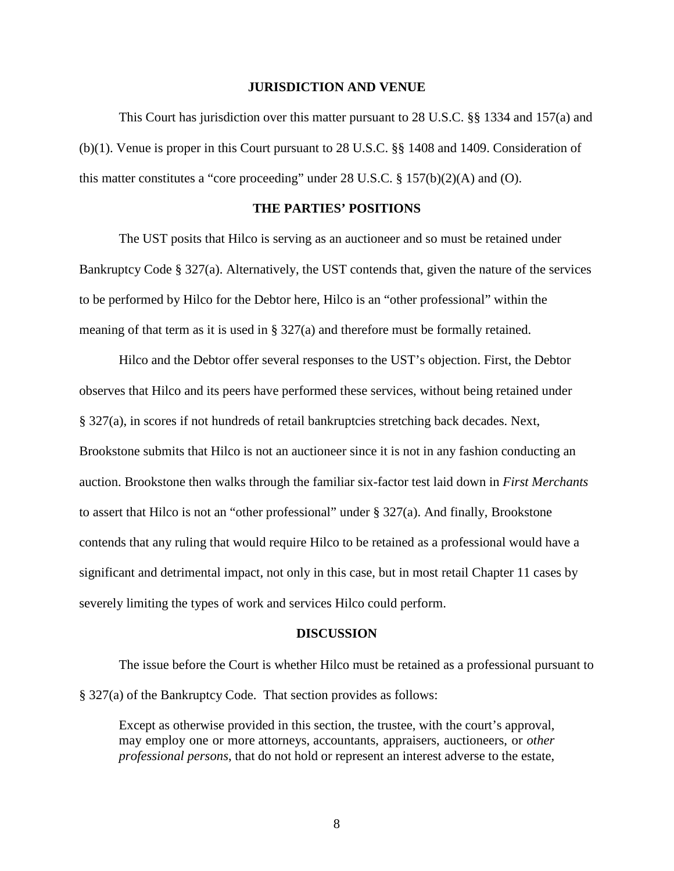## **JURISDICTION AND VENUE**

This Court has jurisdiction over this matter pursuant to 28 U.S.C. §§ 1334 and 157(a) and (b)(1). Venue is proper in this Court pursuant to 28 U.S.C. §§ 1408 and 1409. Consideration of this matter constitutes a "core proceeding" under 28 U.S.C. § 157(b)(2)(A) and (O).

# **THE PARTIES' POSITIONS**

The UST posits that Hilco is serving as an auctioneer and so must be retained under Bankruptcy Code § 327(a). Alternatively, the UST contends that, given the nature of the services to be performed by Hilco for the Debtor here, Hilco is an "other professional" within the meaning of that term as it is used in § 327(a) and therefore must be formally retained.

Hilco and the Debtor offer several responses to the UST's objection. First, the Debtor observes that Hilco and its peers have performed these services, without being retained under § 327(a), in scores if not hundreds of retail bankruptcies stretching back decades. Next, Brookstone submits that Hilco is not an auctioneer since it is not in any fashion conducting an auction. Brookstone then walks through the familiar six-factor test laid down in *First Merchants* to assert that Hilco is not an "other professional" under § 327(a). And finally, Brookstone contends that any ruling that would require Hilco to be retained as a professional would have a significant and detrimental impact, not only in this case, but in most retail Chapter 11 cases by severely limiting the types of work and services Hilco could perform.

#### **DISCUSSION**

The issue before the Court is whether Hilco must be retained as a professional pursuant to § 327(a) of the Bankruptcy Code. That section provides as follows:

Except as otherwise provided in this section, the trustee, with the court's approval, may employ one or more attorneys, accountants, appraisers, auctioneers, or *other professional persons*, that do not hold or represent an interest adverse to the estate,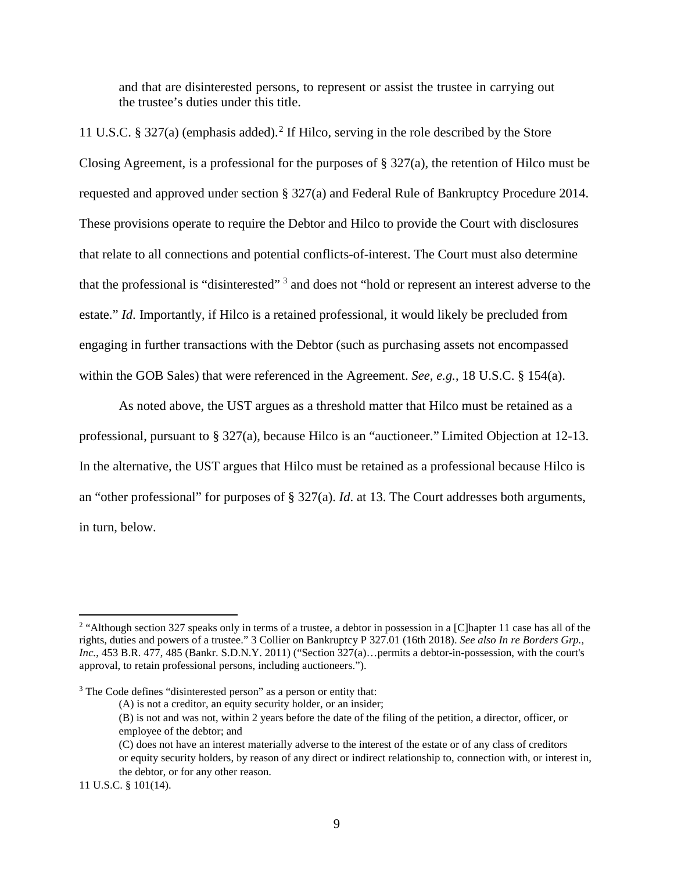and that are disinterested persons, to represent or assist the trustee in carrying out the trustee's duties under this title.

11 U.S.C. § 327(a) (emphasis added). <sup>2</sup> If Hilco, serving in the role described by the Store Closing Agreement, is a professional for the purposes of § 327(a), the retention of Hilco must be requested and approved under section § 327(a) and Federal Rule of Bankruptcy Procedure 2014. These provisions operate to require the Debtor and Hilco to provide the Court with disclosures that relate to all connections and potential conflicts-of-interest. The Court must also determine that the professional is "disinterested" <sup>3</sup> and does not "hold or represent an interest adverse to the estate." *Id*. Importantly, if Hilco is a retained professional, it would likely be precluded from engaging in further transactions with the Debtor (such as purchasing assets not encompassed within the GOB Sales) that were referenced in the Agreement. *See, e.g.*, 18 U.S.C. § 154(a).

As noted above, the UST argues as a threshold matter that Hilco must be retained as a professional, pursuant to § 327(a), because Hilco is an "auctioneer." Limited Objection at 12-13. In the alternative, the UST argues that Hilco must be retained as a professional because Hilco is an "other professional" for purposes of § 327(a). *Id*. at 13. The Court addresses both arguments, in turn, below.

 $\overline{a}$ 

<sup>&</sup>lt;sup>2</sup> "Although section 327 speaks only in terms of a trustee, a debtor in possession in a [C]hapter 11 case has all of the rights, duties and powers of a trustee." 3 Collier on Bankruptcy P 327.01 (16th 2018). *See also In re Borders Grp., Inc.*, 453 B.R. 477, 485 (Bankr. S.D.N.Y. 2011) ("Section 327(a)…permits a debtor-in-possession, with the court's approval, to retain professional persons, including auctioneers.").

<sup>&</sup>lt;sup>3</sup> The Code defines "disinterested person" as a person or entity that:

<sup>(</sup>A) is not a creditor, an equity security holder, or an insider;

<sup>(</sup>B) is not and was not, within 2 years before the date of the filing of the petition, a director, officer, or employee of the debtor; and

<sup>(</sup>C) does not have an interest materially adverse to the interest of the estate or of any class of creditors or equity security holders, by reason of any direct or indirect relationship to, connection with, or interest in, the debtor, or for any other reason.

<sup>11</sup> U.S.C. § 101(14).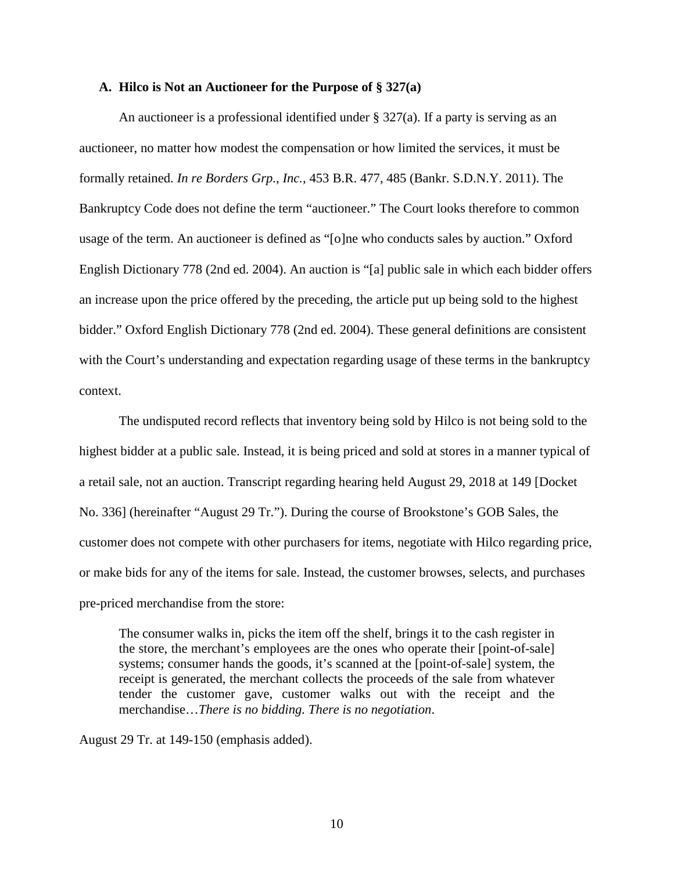## **A. Hilco is Not an Auctioneer for the Purpose of § 327(a)**

An auctioneer is a professional identified under  $\S 327(a)$ . If a party is serving as an auctioneer, no matter how modest the compensation or how limited the services, it must be formally retained. *In re Borders Grp., Inc.*, 453 B.R. 477, 485 (Bankr. S.D.N.Y. 2011). The Bankruptcy Code does not define the term "auctioneer." The Court looks therefore to common usage of the term. An auctioneer is defined as "[o]ne who conducts sales by auction." Oxford English Dictionary 778 (2nd ed. 2004). An auction is "[a] public sale in which each bidder offers an increase upon the price offered by the preceding, the article put up being sold to the highest bidder." Oxford English Dictionary 778 (2nd ed. 2004). These general definitions are consistent with the Court's understanding and expectation regarding usage of these terms in the bankruptcy context.

The undisputed record reflects that inventory being sold by Hilco is not being sold to the highest bidder at a public sale. Instead, it is being priced and sold at stores in a manner typical of a retail sale, not an auction. Transcript regarding hearing held August 29, 2018 at 149 [Docket No. 336] (hereinafter "August 29 Tr."). During the course of Brookstone's GOB Sales, the customer does not compete with other purchasers for items, negotiate with Hilco regarding price, or make bids for any of the items for sale. Instead, the customer browses, selects, and purchases pre-priced merchandise from the store:

The consumer walks in, picks the item off the shelf, brings it to the cash register in the store, the merchant's employees are the ones who operate their [point-of-sale] systems; consumer hands the goods, it's scanned at the [point-of-sale] system, the receipt is generated, the merchant collects the proceeds of the sale from whatever tender the customer gave, customer walks out with the receipt and the merchandise…*There is no bidding. There is no negotiation*.

August 29 Tr. at 149-150 (emphasis added).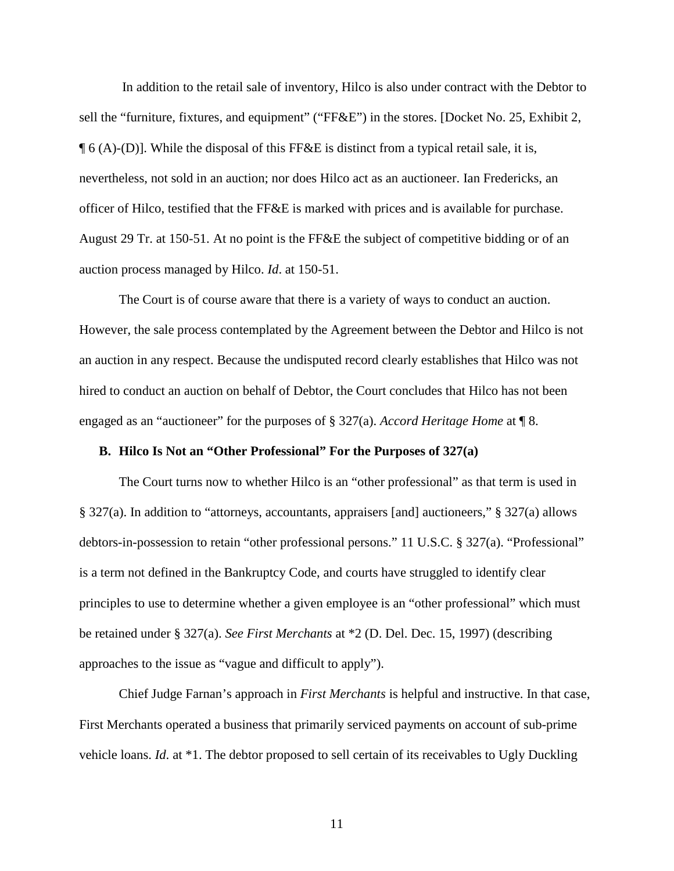In addition to the retail sale of inventory, Hilco is also under contract with the Debtor to sell the "furniture, fixtures, and equipment" ("FF&E") in the stores. [Docket No. 25, Exhibit 2,  $\P$  6 (A)-(D)]. While the disposal of this FF&E is distinct from a typical retail sale, it is, nevertheless, not sold in an auction; nor does Hilco act as an auctioneer. Ian Fredericks, an officer of Hilco, testified that the FF&E is marked with prices and is available for purchase. August 29 Tr. at 150-51. At no point is the FF&E the subject of competitive bidding or of an auction process managed by Hilco. *Id*. at 150-51.

The Court is of course aware that there is a variety of ways to conduct an auction. However, the sale process contemplated by the Agreement between the Debtor and Hilco is not an auction in any respect. Because the undisputed record clearly establishes that Hilco was not hired to conduct an auction on behalf of Debtor, the Court concludes that Hilco has not been engaged as an "auctioneer" for the purposes of § 327(a). *Accord Heritage Home* at ¶ 8.

## **B. Hilco Is Not an "Other Professional" For the Purposes of 327(a)**

The Court turns now to whether Hilco is an "other professional" as that term is used in § 327(a). In addition to "attorneys, accountants, appraisers [and] auctioneers," § 327(a) allows debtors-in-possession to retain "other professional persons." 11 U.S.C. § 327(a). "Professional" is a term not defined in the Bankruptcy Code, and courts have struggled to identify clear principles to use to determine whether a given employee is an "other professional" which must be retained under § 327(a). *See First Merchants* at \*2 (D. Del. Dec. 15, 1997) (describing approaches to the issue as "vague and difficult to apply").

Chief Judge Farnan's approach in *First Merchants* is helpful and instructive. In that case, First Merchants operated a business that primarily serviced payments on account of sub-prime vehicle loans. *Id*. at \*1. The debtor proposed to sell certain of its receivables to Ugly Duckling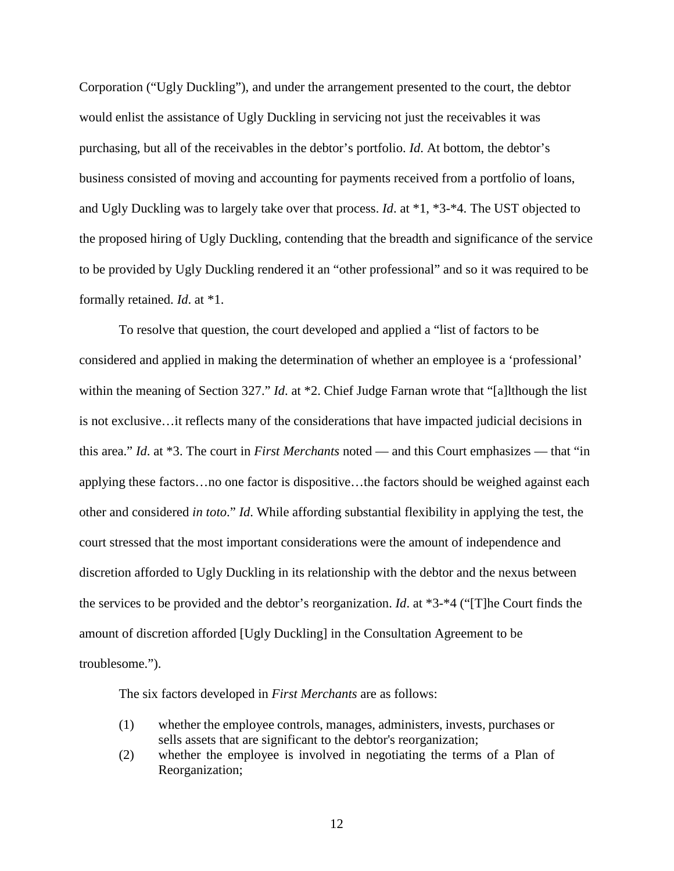Corporation ("Ugly Duckling"), and under the arrangement presented to the court, the debtor would enlist the assistance of Ugly Duckling in servicing not just the receivables it was purchasing, but all of the receivables in the debtor's portfolio. *Id*. At bottom, the debtor's business consisted of moving and accounting for payments received from a portfolio of loans, and Ugly Duckling was to largely take over that process. *Id*. at \*1, \*3-\*4. The UST objected to the proposed hiring of Ugly Duckling, contending that the breadth and significance of the service to be provided by Ugly Duckling rendered it an "other professional" and so it was required to be formally retained. *Id*. at \*1.

To resolve that question, the court developed and applied a "list of factors to be considered and applied in making the determination of whether an employee is a 'professional' within the meaning of Section 327." *Id*. at \*2. Chief Judge Farnan wrote that "[a]lthough the list is not exclusive…it reflects many of the considerations that have impacted judicial decisions in this area." *Id*. at \*3. The court in *First Merchants* noted — and this Court emphasizes — that "in applying these factors…no one factor is dispositive…the factors should be weighed against each other and considered *in toto*." *Id*. While affording substantial flexibility in applying the test, the court stressed that the most important considerations were the amount of independence and discretion afforded to Ugly Duckling in its relationship with the debtor and the nexus between the services to be provided and the debtor's reorganization. *Id*. at \*3-\*4 ("[T]he Court finds the amount of discretion afforded [Ugly Duckling] in the Consultation Agreement to be troublesome.").

The six factors developed in *First Merchants* are as follows:

- (1) whether the employee controls, manages, administers, invests, purchases or sells assets that are significant to the debtor's reorganization;
- (2) whether the employee is involved in negotiating the terms of a Plan of Reorganization;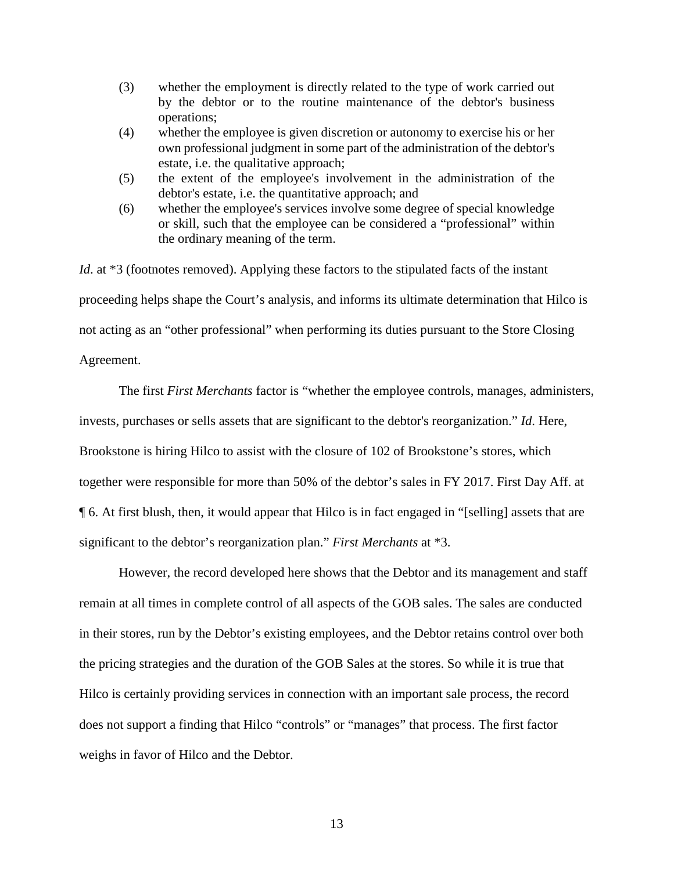- (3) whether the employment is directly related to the type of work carried out by the debtor or to the routine maintenance of the debtor's business operations;
- (4) whether the employee is given discretion or autonomy to exercise his or her own professional judgment in some part of the administration of the debtor's estate, i.e. the qualitative approach;
- (5) the extent of the employee's involvement in the administration of the debtor's estate, i.e. the quantitative approach; and
- (6) whether the employee's services involve some degree of special knowledge or skill, such that the employee can be considered a "professional" within the ordinary meaning of the term.

*Id.* at \*3 (footnotes removed). Applying these factors to the stipulated facts of the instant proceeding helps shape the Court's analysis, and informs its ultimate determination that Hilco is not acting as an "other professional" when performing its duties pursuant to the Store Closing Agreement.

The first *First Merchants* factor is "whether the employee controls, manages, administers, invests, purchases or sells assets that are significant to the debtor's reorganization." *Id*. Here, Brookstone is hiring Hilco to assist with the closure of 102 of Brookstone's stores, which together were responsible for more than 50% of the debtor's sales in FY 2017. First Day Aff. at ¶ 6. At first blush, then, it would appear that Hilco is in fact engaged in "[selling] assets that are significant to the debtor's reorganization plan." *First Merchants* at \*3.

However, the record developed here shows that the Debtor and its management and staff remain at all times in complete control of all aspects of the GOB sales. The sales are conducted in their stores, run by the Debtor's existing employees, and the Debtor retains control over both the pricing strategies and the duration of the GOB Sales at the stores. So while it is true that Hilco is certainly providing services in connection with an important sale process, the record does not support a finding that Hilco "controls" or "manages" that process. The first factor weighs in favor of Hilco and the Debtor.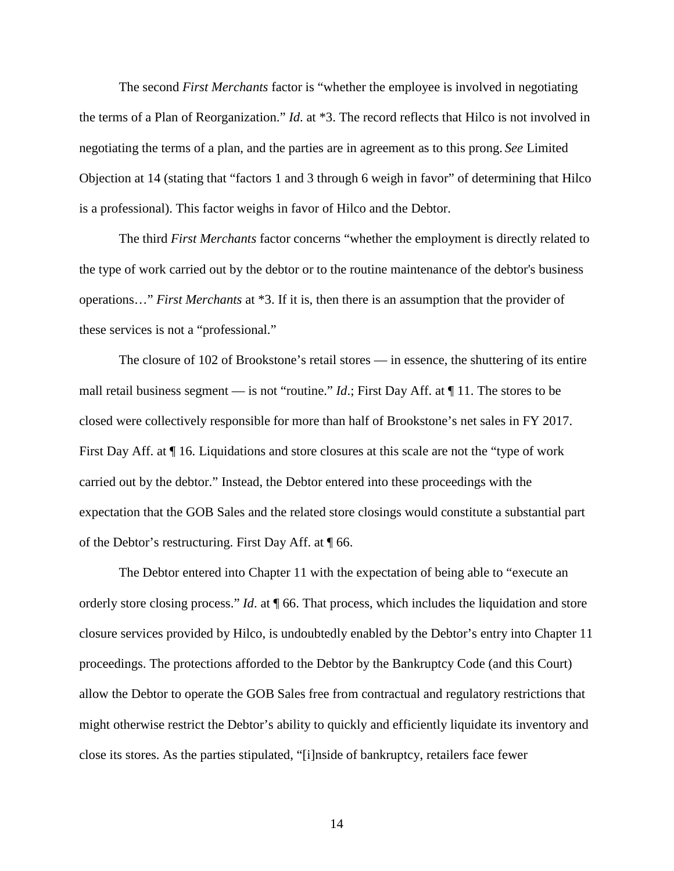The second *First Merchants* factor is "whether the employee is involved in negotiating the terms of a Plan of Reorganization." *Id*. at \*3. The record reflects that Hilco is not involved in negotiating the terms of a plan, and the parties are in agreement as to this prong. *See* Limited Objection at 14 (stating that "factors 1 and 3 through 6 weigh in favor" of determining that Hilco is a professional). This factor weighs in favor of Hilco and the Debtor.

The third *First Merchants* factor concerns "whether the employment is directly related to the type of work carried out by the debtor or to the routine maintenance of the debtor's business operations…" *First Merchants* at \*3. If it is, then there is an assumption that the provider of these services is not a "professional."

The closure of 102 of Brookstone's retail stores — in essence, the shuttering of its entire mall retail business segment — is not "routine." *Id*.; First Day Aff. at ¶ 11. The stores to be closed were collectively responsible for more than half of Brookstone's net sales in FY 2017. First Day Aff. at ¶ 16. Liquidations and store closures at this scale are not the "type of work carried out by the debtor." Instead, the Debtor entered into these proceedings with the expectation that the GOB Sales and the related store closings would constitute a substantial part of the Debtor's restructuring. First Day Aff. at ¶ 66.

The Debtor entered into Chapter 11 with the expectation of being able to "execute an orderly store closing process." *Id*. at ¶ 66. That process, which includes the liquidation and store closure services provided by Hilco, is undoubtedly enabled by the Debtor's entry into Chapter 11 proceedings. The protections afforded to the Debtor by the Bankruptcy Code (and this Court) allow the Debtor to operate the GOB Sales free from contractual and regulatory restrictions that might otherwise restrict the Debtor's ability to quickly and efficiently liquidate its inventory and close its stores. As the parties stipulated, "[i]nside of bankruptcy, retailers face fewer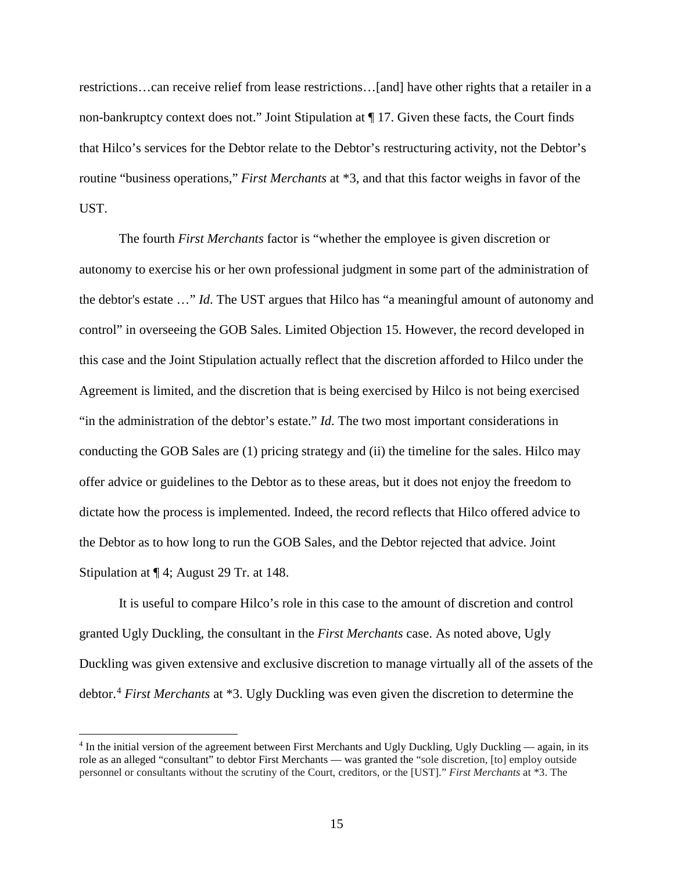restrictions…can receive relief from lease restrictions…[and] have other rights that a retailer in a non-bankruptcy context does not." Joint Stipulation at ¶ 17. Given these facts, the Court finds that Hilco's services for the Debtor relate to the Debtor's restructuring activity, not the Debtor's routine "business operations," *First Merchants* at \*3, and that this factor weighs in favor of the UST.

The fourth *First Merchants* factor is "whether the employee is given discretion or autonomy to exercise his or her own professional judgment in some part of the administration of the debtor's estate …" *Id*. The UST argues that Hilco has "a meaningful amount of autonomy and control" in overseeing the GOB Sales. Limited Objection 15. However, the record developed in this case and the Joint Stipulation actually reflect that the discretion afforded to Hilco under the Agreement is limited, and the discretion that is being exercised by Hilco is not being exercised "in the administration of the debtor's estate." *Id*. The two most important considerations in conducting the GOB Sales are (1) pricing strategy and (ii) the timeline for the sales. Hilco may offer advice or guidelines to the Debtor as to these areas, but it does not enjoy the freedom to dictate how the process is implemented. Indeed, the record reflects that Hilco offered advice to the Debtor as to how long to run the GOB Sales, and the Debtor rejected that advice. Joint Stipulation at ¶ 4; August 29 Tr. at 148.

It is useful to compare Hilco's role in this case to the amount of discretion and control granted Ugly Duckling, the consultant in the *First Merchants* case. As noted above, Ugly Duckling was given extensive and exclusive discretion to manage virtually all of the assets of the debtor. <sup>4</sup> *First Merchants* at \*3. Ugly Duckling was even given the discretion to determine the

 $\ddot{\phantom{a}}$ 

<sup>4</sup> In the initial version of the agreement between First Merchants and Ugly Duckling, Ugly Duckling — again, in its role as an alleged "consultant" to debtor First Merchants — was granted the "sole discretion, [to] employ outside personnel or consultants without the scrutiny of the Court, creditors, or the [UST]." *First Merchants* at \*3. The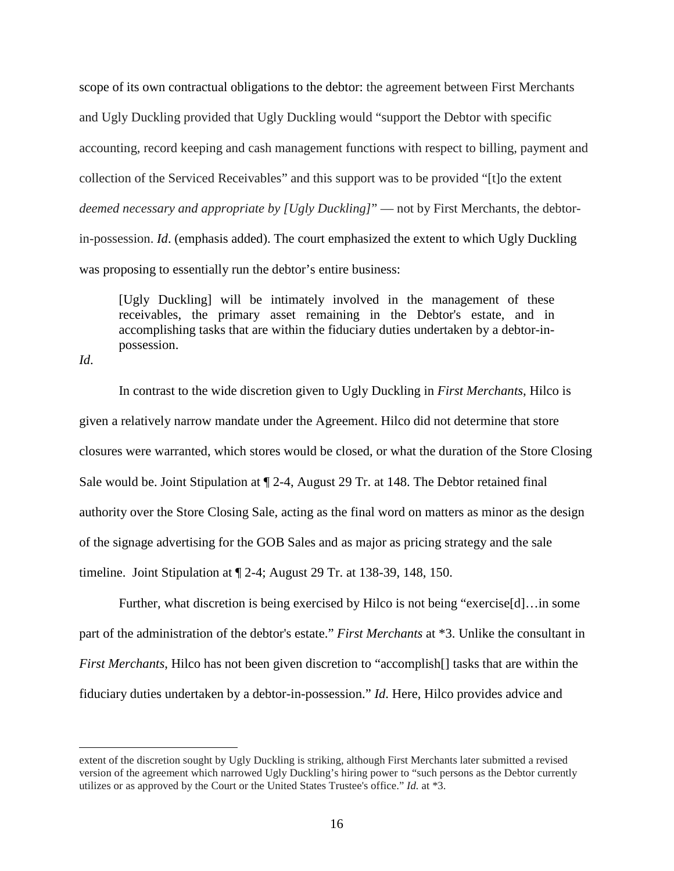scope of its own contractual obligations to the debtor: the agreement between First Merchants and Ugly Duckling provided that Ugly Duckling would "support the Debtor with specific accounting, record keeping and cash management functions with respect to billing, payment and collection of the Serviced Receivables" and this support was to be provided "[t]o the extent *deemed necessary and appropriate by [Ugly Duckling]*" — not by First Merchants, the debtorin-possession. *Id*. (emphasis added). The court emphasized the extent to which Ugly Duckling was proposing to essentially run the debtor's entire business:

[Ugly Duckling] will be intimately involved in the management of these receivables, the primary asset remaining in the Debtor's estate, and in accomplishing tasks that are within the fiduciary duties undertaken by a debtor-inpossession.

*Id*.

 $\ddot{\phantom{a}}$ 

In contrast to the wide discretion given to Ugly Duckling in *First Merchants*, Hilco is given a relatively narrow mandate under the Agreement. Hilco did not determine that store closures were warranted, which stores would be closed, or what the duration of the Store Closing Sale would be. Joint Stipulation at ¶ 2-4, August 29 Tr. at 148. The Debtor retained final authority over the Store Closing Sale, acting as the final word on matters as minor as the design of the signage advertising for the GOB Sales and as major as pricing strategy and the sale timeline. Joint Stipulation at ¶ 2-4; August 29 Tr. at 138-39, 148, 150.

Further, what discretion is being exercised by Hilco is not being "exercise[d]…in some part of the administration of the debtor's estate." *First Merchants* at \*3. Unlike the consultant in *First Merchants*, Hilco has not been given discretion to "accomplish<sup>[]</sup> tasks that are within the fiduciary duties undertaken by a debtor-in-possession." *Id*. Here, Hilco provides advice and

extent of the discretion sought by Ugly Duckling is striking, although First Merchants later submitted a revised version of the agreement which narrowed Ugly Duckling's hiring power to "such persons as the Debtor currently utilizes or as approved by the Court or the United States Trustee's office." *Id.* at \*3.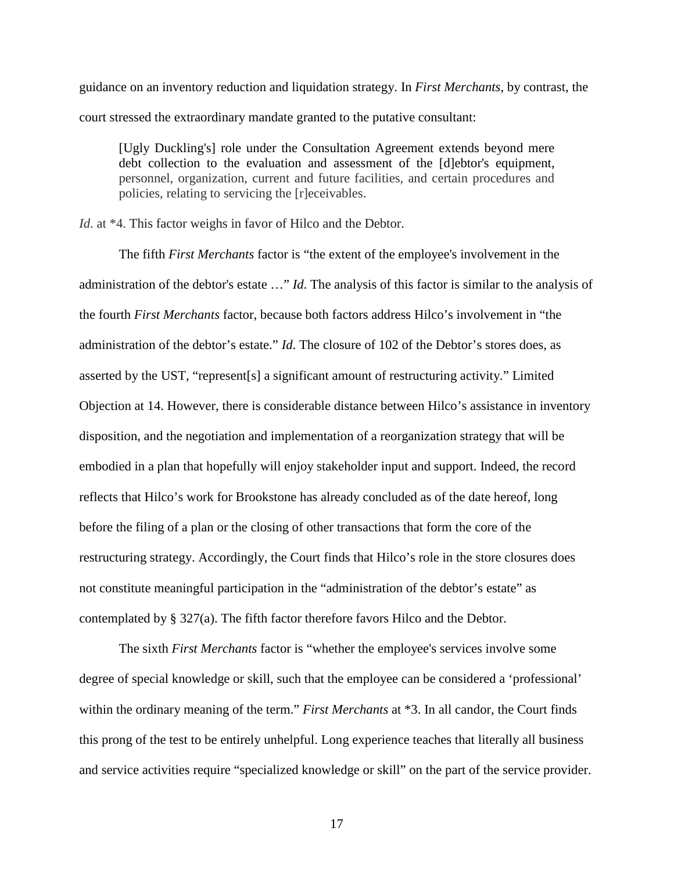guidance on an inventory reduction and liquidation strategy. In *First Merchants*, by contrast, the court stressed the extraordinary mandate granted to the putative consultant:

[Ugly Duckling's] role under the Consultation Agreement extends beyond mere debt collection to the evaluation and assessment of the [d]ebtor's equipment, personnel, organization, current and future facilities, and certain procedures and policies, relating to servicing the [r]eceivables.

*Id*. at \*4. This factor weighs in favor of Hilco and the Debtor.

The fifth *First Merchants* factor is "the extent of the employee's involvement in the administration of the debtor's estate …" *Id*. The analysis of this factor is similar to the analysis of the fourth *First Merchants* factor, because both factors address Hilco's involvement in "the administration of the debtor's estate." *Id*. The closure of 102 of the Debtor's stores does, as asserted by the UST, "represent[s] a significant amount of restructuring activity." Limited Objection at 14. However, there is considerable distance between Hilco's assistance in inventory disposition, and the negotiation and implementation of a reorganization strategy that will be embodied in a plan that hopefully will enjoy stakeholder input and support. Indeed, the record reflects that Hilco's work for Brookstone has already concluded as of the date hereof, long before the filing of a plan or the closing of other transactions that form the core of the restructuring strategy. Accordingly, the Court finds that Hilco's role in the store closures does not constitute meaningful participation in the "administration of the debtor's estate" as contemplated by § 327(a). The fifth factor therefore favors Hilco and the Debtor.

The sixth *First Merchants* factor is "whether the employee's services involve some degree of special knowledge or skill, such that the employee can be considered a 'professional' within the ordinary meaning of the term." *First Merchants* at \*3. In all candor, the Court finds this prong of the test to be entirely unhelpful. Long experience teaches that literally all business and service activities require "specialized knowledge or skill" on the part of the service provider.